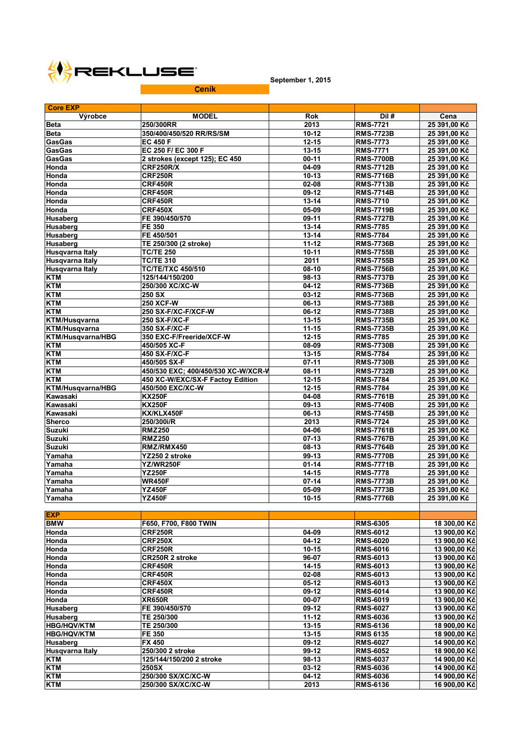

**September 1, 2015**

| <b>Core EXP</b>          |                                     |                      |                  |              |
|--------------------------|-------------------------------------|----------------------|------------------|--------------|
| Výrobce                  | <b>MODEL</b>                        | <b>Rok</b>           | Díl#             | Cena         |
| <b>Beta</b>              | 250/300RR                           | 2013                 | <b>RMS-7721</b>  | 25 391,00 Kč |
| <b>Beta</b>              | 350/400/450/520 RR/RS/SM            | $10-12$              | <b>RMS-7723B</b> | 25 391,00 Kč |
| <b>GasGas</b>            | <b>EC 450 F</b>                     | $\overline{12} - 15$ | <b>RMS-7773</b>  | 25 391,00 Kč |
| <b>GasGas</b>            | EC 250 F/ EC 300 F                  | $13 - 15$            | <b>RMS-7771</b>  | 25 391,00 Kč |
| <b>GasGas</b>            | 2 strokes (except 125); EC 450      | $00-11$              | <b>RMS-7700B</b> | 25 391,00 Kč |
| Honda                    | <b>CRF250R/X</b>                    | 04-09                | <b>RMS-7712B</b> | 25 391,00 Kč |
| Honda                    | <b>CRF250R</b>                      | $10-13$              | <b>RMS-7716B</b> | 25 391,00 Kč |
| Honda                    | <b>CRF450R</b>                      | 02-08                | <b>RMS-7713B</b> | 25 391,00 Kč |
| Honda                    | <b>CRF450R</b>                      | 09-12                | <b>RMS-7714B</b> | 25 391,00 Kč |
| Honda                    | CRF450R                             | $13 - 14$            | <b>RMS-7710</b>  | 25 391,00 Kč |
| Honda                    | <b>CRF450X</b>                      | 05-09                | <b>RMS-7719B</b> | 25 391,00 Kč |
| <b>Husaberg</b>          | FE 390/450/570                      | 09-11                | <b>RMS-7727B</b> | 25 391,00 Kč |
| <b>Husaberg</b>          | FE 350                              | 13-14                | <b>RMS-7785</b>  | 25 391,00 Kč |
| <b>Husaberg</b>          | FE 450/501                          | 13-14                | <b>RMS-7784</b>  | 25 391,00 Kč |
| Husaberg                 | TE 250/300 (2 stroke)               | $11 - 12$            | <b>RMS-7736B</b> | 25 391,00 Kč |
| Husgvarna Italy          | <b>TC/TE 250</b>                    | 10-11                | <b>RMS-7755B</b> | 25 391,00 Kč |
| <b>Husqvarna Italy</b>   | <b>TC/TE 310</b>                    | 2011                 | <b>RMS-7755B</b> | 25 391,00 Kč |
| <b>Husqvarna Italy</b>   | <b>TC/TE/TXC 450/510</b>            | 08-10                | <b>RMS-7756B</b> | 25 391,00 Kč |
| <b>KTM</b>               | 125/144/150/200                     | 98-13                | <b>RMS-7737B</b> | 25 391,00 Kč |
| <b>KTM</b>               | 250/300 XC/XC-W                     | 04-12                | <b>RMS-7736B</b> | 25 391,00 Kč |
| <b>KTM</b>               | 250 SX                              | 03-12                | <b>RMS-7736B</b> | 25 391,00 Kč |
| <b>KTM</b>               | <b>250 XCF-W</b>                    | 06-13                | <b>RMS-7738B</b> | 25 391,00 Kč |
| <b>KTM</b>               | 250 SX-F/XC-F/XCF-W                 | 06-12                | <b>RMS-7738B</b> | 25 391,00 Kč |
| <b>KTM/Husqvarna</b>     | 250 SX-F/XC-F                       | $13 - 15$            | <b>RMS-7735B</b> | 25 391,00 Kč |
| KTM/Husqvarna            | 350 SX-F/XC-F                       | $11 - 15$            | <b>RMS-7735B</b> | 25 391,00 Kč |
| <b>KTM/Husavarna/HBG</b> | 350 EXC-F/Freeride/XCF-W            | $12 - 15$            | <b>RMS-7785</b>  | 25 391,00 Kč |
| <b>KTM</b>               | 450/505 XC-F                        | 08-09                | <b>RMS-7730B</b> | 25 391,00 Kč |
| <b>KTM</b>               | 450 SX-F/XC-F                       | $13 - 15$            | <b>RMS-7784</b>  | 25 391,00 Kč |
| <b>KTM</b>               | 450/505 SX-F                        | $07-11$              | <b>RMS-7730B</b> | 25 391,00 Kč |
| <b>KTM</b>               | 450/530 EXC; 400/450/530 XC-W/XCR-V | 08-11                | <b>RMS-7732B</b> | 25 391,00 Kč |
| <b>KTM</b>               | 450 XC-W/EXC/SX-F Factoy Edition    | 12-15                | <b>RMS-7784</b>  | 25 391,00 Kč |
| KTM/Husqvarna/HBG        | 450/500 EXC/XC-W                    | $12 - 15$            | <b>RMS-7784</b>  | 25 391,00 Kč |
| Kawasaki                 | <b>KX250F</b>                       | 04-08                | <b>RMS-7761B</b> | 25 391,00 Kč |
| Kawasaki                 | <b>KX250F</b>                       | 09-13                | <b>RMS-7740B</b> | 25 391,00 Kč |
| Kawasaki                 | KX/KLX450F                          | 06-13                | <b>RMS-7745B</b> | 25 391,00 Kč |
| <b>Sherco</b>            | 250/300i/R                          | 2013                 | <b>RMS-7724</b>  | 25 391,00 Kč |
| <b>Suzuki</b>            | <b>RMZ250</b>                       | 04-06                | <b>RMS-7761B</b> | 25 391,00 Kč |
| <b>Suzuki</b>            | <b>RMZ250</b>                       | $07-13$              | <b>RMS-7767B</b> | 25 391,00 Kč |
| <b>Suzuki</b>            | RMZ/RMX450                          | 08-13                | <b>RMS-7764B</b> | 25 391,00 Kč |
| Yamaha                   | YZ250 2 stroke                      | 99-13                | <b>RMS-7770B</b> | 25 391,00 Kč |
| Yamaha                   | <b>YZ/WR250F</b>                    | $01 - 14$            | <b>RMS-7771B</b> | 25 391,00 Kč |
| Yamaha                   | <b>YZ250F</b>                       | $14 - 15$            | <b>RMS-7778</b>  | 25 391,00 Kč |
| Yamaha                   | <b>WR450F</b>                       | $07 - 14$            | <b>RMS-7773B</b> | 25 391,00 Kč |
| Yamaha                   | <b>YZ450F</b>                       | 05-09                | <b>RMS-7773B</b> | 25 391,00 Kč |
| Yamaha                   | <b>YZ450F</b>                       | $10 - 15$            | <b>RMS-7776B</b> | 25 391,00 Kč |
|                          |                                     |                      |                  |              |
| <b>EXP</b>               |                                     |                      |                  |              |
| <b>BMW</b>               | F650, F700, F800 TWIN               |                      | <b>RMS-6305</b>  | 18 300,00 Kč |
| Honda                    | CRF250R                             | 04-09                | <b>RMS-6012</b>  | 13 900,00 Kč |
| Honda                    | <b>CRF250X</b>                      | $04-12$              | <b>RMS-6020</b>  | 13 900,00 Kč |
| Honda                    | CRF250R                             | $10 - 15$            | <b>RMS-6016</b>  | 13 900,00 Kč |
| Honda                    | CR250R 2 stroke                     | 96-07                | <b>RMS-6013</b>  | 13 900,00 Kč |
| Honda                    | CRF450R                             | $14 - 15$            | <b>RMS-6013</b>  | 13 900,00 Kč |
| Honda                    | CRF450R                             | 02-08                | <b>RMS-6013</b>  | 13 900,00 Kč |
| Honda                    | <b>CRF450X</b>                      | $05-12$              | <b>RMS-6013</b>  | 13 900,00 Kč |
| Honda                    | <b>CRF450R</b>                      | 09-12                | <b>RMS-6014</b>  | 13 900,00 Kč |
| Honda                    | <b>XR650R</b>                       | 00-07                | <b>RMS-6019</b>  | 13 900,00 Kč |
| <b>Husaberg</b>          | FE 390/450/570                      | 09-12                | <b>RMS-6027</b>  | 13 900,00 Kč |
| Husaberg                 | TE 250/300                          | $11 - 12$            | <b>RMS-6036</b>  | 13 900,00 Kč |
| <b>HBG/HQV/KTM</b>       | TE 250/300                          | $13 - 15$            | <b>RMS-6136</b>  | 18 900,00 Kč |
| <b>HBG/HQV/KTM</b>       | FE 350                              | $13 - 15$            | <b>RMS 6135</b>  | 18 900,00 Kč |
| <b>Husaberg</b>          | <b>FX 450</b>                       | 09-12                | <b>RMS-6027</b>  | 14 900,00 Kč |
| Husqvarna Italy          | 250/300 2 stroke                    | 99-12                | <b>RMS-6052</b>  | 18 900,00 Kč |
| <b>KTM</b>               | 125/144/150/200 2 stroke            | 98-13                | <b>RMS-6037</b>  | 14 900,00 Kč |
| <b>KTM</b>               | <b>250SX</b>                        | 03-12                | <b>RMS-6036</b>  | 14 900,00 Kč |
| <b>KTM</b>               | 250/300 SX/XC/XC-W                  | 04-12                | <b>RMS-6036</b>  | 14 900,00 Kč |
| <b>KTM</b>               | 250/300 SX/XC/XC-W                  | 2013                 | <b>RMS-6136</b>  | 16 900,00 Kč |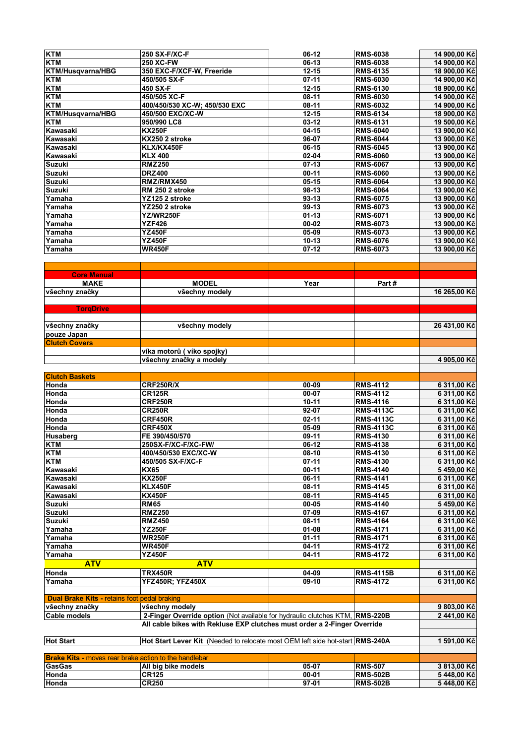| <b>KTM</b>                                                                                                                                                                                                                                                                                            | 250 SX-F/XC-F                                                                 | 06-12          | <b>RMS-6038</b>                    | 14 900,00 Kč                                                                                    |
|-------------------------------------------------------------------------------------------------------------------------------------------------------------------------------------------------------------------------------------------------------------------------------------------------------|-------------------------------------------------------------------------------|----------------|------------------------------------|-------------------------------------------------------------------------------------------------|
| <b>KTM</b>                                                                                                                                                                                                                                                                                            | <b>250 XC-FW</b>                                                              | 06-13          | <b>RMS-6038</b>                    | 14 900,00 Kč                                                                                    |
|                                                                                                                                                                                                                                                                                                       |                                                                               |                |                                    |                                                                                                 |
| <b>KTM/Husqvarna/HBG</b>                                                                                                                                                                                                                                                                              | 350 EXC-F/XCF-W, Freeride                                                     | $12 - 15$      | <b>RMS-6135</b>                    | 18 900,00 Kč                                                                                    |
| <b>KTM</b>                                                                                                                                                                                                                                                                                            | 450/505 SX-F                                                                  | $07-11$        | <b>RMS-6030</b>                    | 14 900,00 Kč                                                                                    |
| <b>KTM</b>                                                                                                                                                                                                                                                                                            | 450 SX-F                                                                      | $12 - 15$      | <b>RMS-6130</b>                    | 18 900,00 Kč                                                                                    |
| <b>KTM</b>                                                                                                                                                                                                                                                                                            | 450/505 XC-F                                                                  | 08-11          | <b>RMS-6030</b>                    | 14 900,00 Kč                                                                                    |
| <b>KTM</b>                                                                                                                                                                                                                                                                                            | 400/450/530 XC-W; 450/530 EXC                                                 | 08-11          | <b>RMS-6032</b>                    | 14 900,00 Kč                                                                                    |
| KTM/Husqvarna/HBG                                                                                                                                                                                                                                                                                     | 450/500 EXC/XC-W                                                              | $12 - 15$      | <b>RMS-6134</b>                    | 18 900,00 Kč                                                                                    |
| <b>KTM</b>                                                                                                                                                                                                                                                                                            | 950/990 LC8                                                                   | 03-12          | <b>RMS-6131</b>                    | 19 500,00 Kč                                                                                    |
| Kawasaki                                                                                                                                                                                                                                                                                              | <b>KX250F</b>                                                                 | $04-15$        | <b>RMS-6040</b>                    |                                                                                                 |
|                                                                                                                                                                                                                                                                                                       |                                                                               |                |                                    | 13 900,00 Kč                                                                                    |
| Kawasaki                                                                                                                                                                                                                                                                                              | KX250 2 stroke                                                                | 96-07          | <b>RMS-6044</b>                    | 13 900,00 Kč                                                                                    |
| Kawasaki                                                                                                                                                                                                                                                                                              | KLX/KX450F                                                                    | 06-15          | <b>RMS-6045</b>                    | 13 900,00 Kč                                                                                    |
| <b>Kawasaki</b>                                                                                                                                                                                                                                                                                       | <b>KLX 400</b>                                                                | 02-04          | <b>RMS-6060</b>                    | 13 900,00 Kč                                                                                    |
| <b>Suzuki</b>                                                                                                                                                                                                                                                                                         | <b>RMZ250</b>                                                                 | $07-13$        | <b>RMS-6067</b>                    | 13 900,00 Kč                                                                                    |
| <b>Suzuki</b>                                                                                                                                                                                                                                                                                         | <b>DRZ400</b>                                                                 | $00-11$        | <b>RMS-6060</b>                    | 13 900,00 Kč                                                                                    |
| <b>Suzuki</b>                                                                                                                                                                                                                                                                                         | RMZ/RMX450                                                                    | $05 - 15$      | <b>RMS-6064</b>                    | 13 900,00 Kč                                                                                    |
|                                                                                                                                                                                                                                                                                                       |                                                                               |                |                                    |                                                                                                 |
| <b>Suzuki</b>                                                                                                                                                                                                                                                                                         | RM 250 2 stroke                                                               | 98-13          | <b>RMS-6064</b>                    | 13 900,00 Kč                                                                                    |
| Yamaha                                                                                                                                                                                                                                                                                                | YZ125 2 stroke                                                                | $93-13$        | <b>RMS-6075</b>                    | 13 900,00 Kč                                                                                    |
| Yamaha                                                                                                                                                                                                                                                                                                | YZ250 2 stroke                                                                | 99-13          | <b>RMS-6073</b>                    | 13 900,00 Kč                                                                                    |
| Yamaha                                                                                                                                                                                                                                                                                                | YZ/WR250F                                                                     | $01 - 13$      | <b>RMS-6071</b>                    | 13 900,00 Kč                                                                                    |
| Yamaha                                                                                                                                                                                                                                                                                                | <b>YZF426</b>                                                                 | 00-02          | <b>RMS-6073</b>                    | 13 900,00 Kč                                                                                    |
| Yamaha                                                                                                                                                                                                                                                                                                | <b>YZ450F</b>                                                                 | 05-09          | <b>RMS-6073</b>                    | 13 900,00 Kč                                                                                    |
|                                                                                                                                                                                                                                                                                                       |                                                                               |                |                                    |                                                                                                 |
| Yamaha                                                                                                                                                                                                                                                                                                | <b>YZ450F</b>                                                                 | $10 - 13$      | <b>RMS-6076</b>                    | 13 900,00 Kč                                                                                    |
| Yamaha                                                                                                                                                                                                                                                                                                | <b>WR450F</b>                                                                 | $07-12$        | <b>RMS-6073</b>                    | 13 900,00 Kč                                                                                    |
|                                                                                                                                                                                                                                                                                                       |                                                                               |                |                                    |                                                                                                 |
|                                                                                                                                                                                                                                                                                                       |                                                                               |                |                                    |                                                                                                 |
| <b>Core Manual</b>                                                                                                                                                                                                                                                                                    |                                                                               |                |                                    |                                                                                                 |
| <b>MAKE</b>                                                                                                                                                                                                                                                                                           | <b>MODEL</b>                                                                  | Year           | Part#                              |                                                                                                 |
|                                                                                                                                                                                                                                                                                                       |                                                                               |                |                                    |                                                                                                 |
| všechny značky                                                                                                                                                                                                                                                                                        | všechny modely                                                                |                |                                    | 16 265,00 Kč                                                                                    |
|                                                                                                                                                                                                                                                                                                       |                                                                               |                |                                    |                                                                                                 |
| <b>TorqDrive</b>                                                                                                                                                                                                                                                                                      |                                                                               |                |                                    |                                                                                                 |
|                                                                                                                                                                                                                                                                                                       |                                                                               |                |                                    |                                                                                                 |
| všechny značky                                                                                                                                                                                                                                                                                        | všechny modely                                                                |                |                                    | 26 431,00 Kč                                                                                    |
| pouze Japan                                                                                                                                                                                                                                                                                           |                                                                               |                |                                    |                                                                                                 |
| <b>Clutch Covers</b>                                                                                                                                                                                                                                                                                  |                                                                               |                |                                    |                                                                                                 |
|                                                                                                                                                                                                                                                                                                       |                                                                               |                |                                    |                                                                                                 |
|                                                                                                                                                                                                                                                                                                       | víka motorů (víko spojky)                                                     |                |                                    |                                                                                                 |
|                                                                                                                                                                                                                                                                                                       | všechny značky a modely                                                       |                |                                    | 4 905,00 Kč                                                                                     |
|                                                                                                                                                                                                                                                                                                       |                                                                               |                |                                    |                                                                                                 |
|                                                                                                                                                                                                                                                                                                       |                                                                               |                |                                    |                                                                                                 |
|                                                                                                                                                                                                                                                                                                       |                                                                               |                |                                    |                                                                                                 |
|                                                                                                                                                                                                                                                                                                       |                                                                               |                |                                    |                                                                                                 |
|                                                                                                                                                                                                                                                                                                       | <b>CRF250R/X</b>                                                              | 00-09          | <b>RMS-4112</b>                    | 6 311,00 Kč                                                                                     |
| Honda                                                                                                                                                                                                                                                                                                 | <b>CR125R</b>                                                                 | 00-07          | <b>RMS-4112</b>                    | 6 311,00 Kč                                                                                     |
| Honda                                                                                                                                                                                                                                                                                                 | <b>CRF250R</b>                                                                | $10 - 11$      | <b>RMS-4116</b>                    | 6311,00 Kč                                                                                      |
| Honda                                                                                                                                                                                                                                                                                                 | <b>CR250R</b>                                                                 | 92-07          | <b>RMS-4113C</b>                   | 6 311,00 Kč                                                                                     |
| Honda                                                                                                                                                                                                                                                                                                 | <b>CRF450R</b>                                                                | $02 - 11$      | <b>RMS-4113C</b>                   | 6 311,00 Kč                                                                                     |
| Honda                                                                                                                                                                                                                                                                                                 | <b>CRF450X</b>                                                                | 05-09          | <b>RMS-4113C</b>                   | 6 311,00 Kč                                                                                     |
|                                                                                                                                                                                                                                                                                                       | FE 390/450/570                                                                | 09-11          |                                    |                                                                                                 |
|                                                                                                                                                                                                                                                                                                       |                                                                               |                | <b>RMS-4130</b>                    | 6 311,00 Kč                                                                                     |
|                                                                                                                                                                                                                                                                                                       | 250SX-F/XC-F/XC-FW/                                                           | $06-12$        | <b>RMS-4138</b>                    | 6 311,00 Kč                                                                                     |
|                                                                                                                                                                                                                                                                                                       | 400/450/530 EXC/XC-W                                                          | 08-10          | <b>RMS-4130</b>                    | 6 311,00 Kč                                                                                     |
|                                                                                                                                                                                                                                                                                                       | 450/505 SX-F/XC-F                                                             | $07-11$        | <b>RMS-4130</b>                    | 6 311,00 Kč                                                                                     |
|                                                                                                                                                                                                                                                                                                       | <b>KX65</b>                                                                   | $00-11$        | <b>RMS-4140</b>                    |                                                                                                 |
|                                                                                                                                                                                                                                                                                                       | <b>KX250F</b>                                                                 | 06-11          | <b>RMS-4141</b>                    | 6 311,00 Kč                                                                                     |
| Kawasaki                                                                                                                                                                                                                                                                                              | <b>KLX450F</b>                                                                | 08-11          | <b>RMS-4145</b>                    |                                                                                                 |
|                                                                                                                                                                                                                                                                                                       | <b>KX450F</b>                                                                 | 08-11          | <b>RMS-4145</b>                    | 6 311,00 Kč                                                                                     |
|                                                                                                                                                                                                                                                                                                       |                                                                               |                |                                    |                                                                                                 |
| <b>Suzuki</b>                                                                                                                                                                                                                                                                                         | <b>RM65</b>                                                                   | 00-05          | <b>RMS-4140</b>                    | 5 459,00 Kč                                                                                     |
|                                                                                                                                                                                                                                                                                                       | <b>RMZ250</b>                                                                 | 07-09          | <b>RMS-4167</b>                    | 6 311,00 Kč                                                                                     |
| <b>Suzuki</b>                                                                                                                                                                                                                                                                                         | <b>RMZ450</b>                                                                 | $08-11$        | <b>RMS-4164</b>                    | 6 311,00 Kč                                                                                     |
| Yamaha                                                                                                                                                                                                                                                                                                | <b>YZ250F</b>                                                                 | $01 - 08$      | <b>RMS-4171</b>                    |                                                                                                 |
| Yamaha                                                                                                                                                                                                                                                                                                | <b>WR250F</b>                                                                 | $01 - 11$      | <b>RMS-4171</b>                    | 6 311,00 Kč                                                                                     |
|                                                                                                                                                                                                                                                                                                       | <b>WR450F</b>                                                                 | $04-11$        | <b>RMS-4172</b>                    | 6 311,00 Kč                                                                                     |
|                                                                                                                                                                                                                                                                                                       | <b>YZ450F</b>                                                                 | $04-11$        |                                    |                                                                                                 |
|                                                                                                                                                                                                                                                                                                       |                                                                               |                | <b>RMS-4172</b>                    | 6 311,00 Kč                                                                                     |
| <b>ATV</b>                                                                                                                                                                                                                                                                                            | <b>ATV</b>                                                                    |                |                                    |                                                                                                 |
| Honda                                                                                                                                                                                                                                                                                                 | TRX450R                                                                       | 04-09          | <b>RMS-4115B</b>                   |                                                                                                 |
|                                                                                                                                                                                                                                                                                                       | YFZ450R; YFZ450X                                                              | 09-10          | <b>RMS-4172</b>                    | 6 311,00 Kč                                                                                     |
|                                                                                                                                                                                                                                                                                                       |                                                                               |                |                                    |                                                                                                 |
| Dual Brake Kits - retains foot pedal braking                                                                                                                                                                                                                                                          |                                                                               |                |                                    |                                                                                                 |
|                                                                                                                                                                                                                                                                                                       |                                                                               |                |                                    |                                                                                                 |
| všechny značky                                                                                                                                                                                                                                                                                        | všechny modely                                                                |                |                                    | 9 803,00 Kč                                                                                     |
| Cable models                                                                                                                                                                                                                                                                                          | 2-Finger Override option (Not available for hydraulic clutches KTM, RMS-220B  |                |                                    |                                                                                                 |
|                                                                                                                                                                                                                                                                                                       | All cable bikes with Rekluse EXP clutches must order a 2-Finger Override      |                |                                    |                                                                                                 |
|                                                                                                                                                                                                                                                                                                       |                                                                               |                |                                    |                                                                                                 |
|                                                                                                                                                                                                                                                                                                       | Hot Start Lever Kit (Needed to relocate most OEM left side hot-start RMS-240A |                |                                    | 2 441,00 Kč                                                                                     |
|                                                                                                                                                                                                                                                                                                       |                                                                               |                |                                    |                                                                                                 |
|                                                                                                                                                                                                                                                                                                       |                                                                               |                |                                    |                                                                                                 |
|                                                                                                                                                                                                                                                                                                       |                                                                               | 05-07          | <b>RMS-507</b>                     |                                                                                                 |
|                                                                                                                                                                                                                                                                                                       | All big bike models                                                           |                |                                    | 3813,00 Kč                                                                                      |
| <b>Clutch Baskets</b><br><b>Honda</b><br><b>Husaberg</b><br><b>KTM</b><br><b>KTM</b><br><b>KTM</b><br>Kawasaki<br>Kawasaki<br>Kawasaki<br><b>Suzuki</b><br>Yamaha<br>Yamaha<br>Yamaha<br><b>Hot Start</b><br><b>Brake Kits - moves rear brake action to the handlebar</b><br>GasGas<br>Honda<br>Honda | <b>CR125</b><br><b>CR250</b>                                                  | 00-01<br>97-01 | <b>RMS-502B</b><br><b>RMS-502B</b> | 5459,00 Kč<br>6311,00 Kč<br>6311,00 Kč<br>6311,00 Kč<br>1 591,00 Kč<br>5448,00 Kč<br>5448,00 Kč |